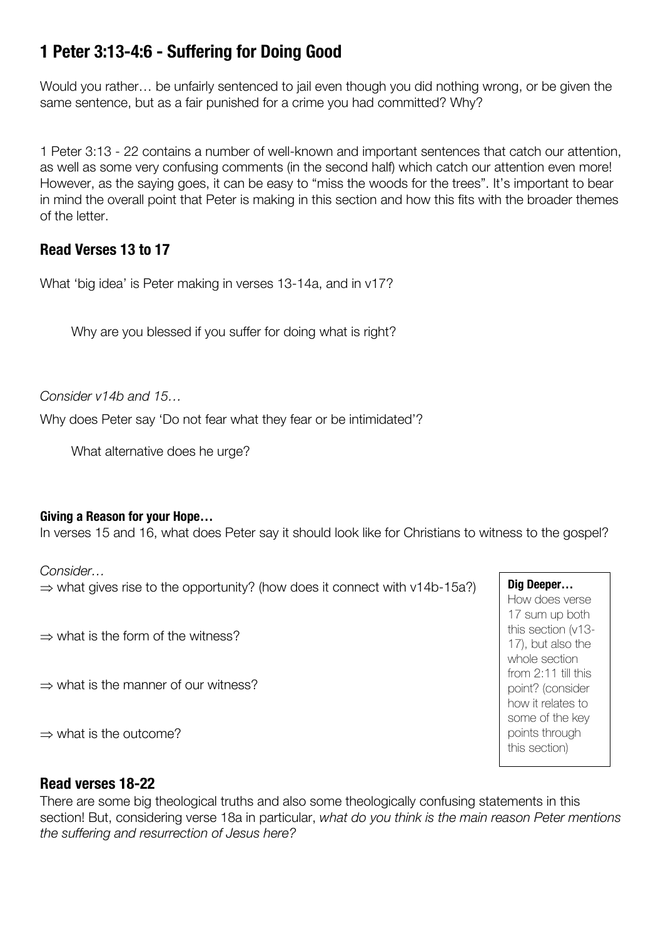# **1 Peter 3:13-4:6 - Suffering for Doing Good**

Would you rather… be unfairly sentenced to jail even though you did nothing wrong, or be given the same sentence, but as a fair punished for a crime you had committed? Why?

1 Peter 3:13 - 22 contains a number of well-known and important sentences that catch our attention, as well as some very confusing comments (in the second half) which catch our attention even more! However, as the saying goes, it can be easy to "miss the woods for the trees". It's important to bear in mind the overall point that Peter is making in this section and how this fits with the broader themes of the letter.

# **Read Verses 13 to 17**

What 'big idea' is Peter making in verses 13-14a, and in v17?

Why are you blessed if you suffer for doing what is right?

*Consider v14b and 15…*

Why does Peter say 'Do not fear what they fear or be intimidated'?

What alternative does he urge?

## **Giving a Reason for your Hope…**

In verses 15 and 16, what does Peter say it should look like for Christians to witness to the gospel?

#### *Consider…*

 $\Rightarrow$  what gives rise to the opportunity? (how does it connect with v14b-15a?)

 $\rightarrow$  what is the form of the witness?

 $\Rightarrow$  what is the manner of our witness?

 $\Rightarrow$  what is the outcome?

## **Read verses 18-22**

There are some big theological truths and also some theologically confusing statements in this section! But, considering verse 18a in particular, *what do you think is the main reason Peter mentions the suffering and resurrection of Jesus here?* 

**Dig Deeper…** How does verse 17 sum up both this section (v13- 17), but also the whole section from 2:11 till this point? (consider how it relates to some of the key points through this section)